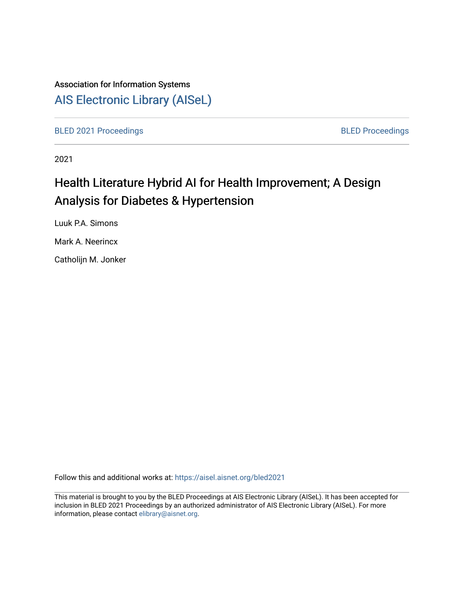## Association for Information Systems [AIS Electronic Library \(AISeL\)](https://aisel.aisnet.org/)

[BLED 2021 Proceedings](https://aisel.aisnet.org/bled2021) **BLED Proceedings** 

2021

# Health Literature Hybrid AI for Health Improvement; A Design Analysis for Diabetes & Hypertension

Luuk P.A. Simons

Mark A. Neerincx

Catholijn M. Jonker

Follow this and additional works at: [https://aisel.aisnet.org/bled2021](https://aisel.aisnet.org/bled2021?utm_source=aisel.aisnet.org%2Fbled2021%2F5&utm_medium=PDF&utm_campaign=PDFCoverPages) 

This material is brought to you by the BLED Proceedings at AIS Electronic Library (AISeL). It has been accepted for inclusion in BLED 2021 Proceedings by an authorized administrator of AIS Electronic Library (AISeL). For more information, please contact [elibrary@aisnet.org.](mailto:elibrary@aisnet.org%3E)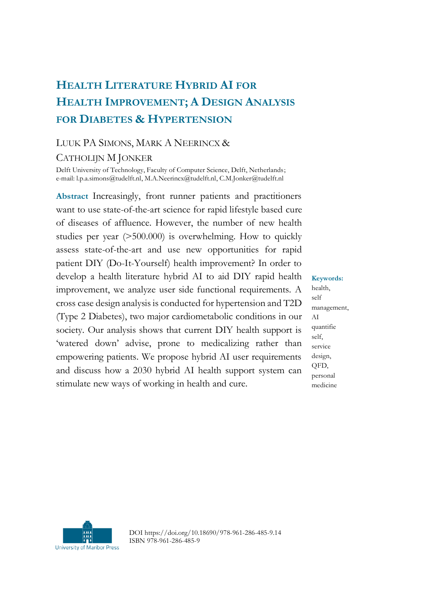## **HEALTH LITERATURE HYBRID AI FOR HEALTH IMPROVEMENT; A DESIGN ANALYSIS FOR DIABETES & HYPERTENSION**

#### LUUK PA SIMONS, MARK A NEERINCX &

#### CATHOLIJN M JONKER

Delft University of Technology, Faculty of Computer Science, Delft, Netherlands; e-mail: l.p.a.simons@tudelft.nl, M.A.Neerincx@tudelft.nl, C.M.Jonker@tudelft.nl

**Abstract** Increasingly, front runner patients and practitioners want to use state-of-the-art science for rapid lifestyle based cure of diseases of affluence. However, the number of new health studies per year (>500.000) is overwhelming. How to quickly assess state-of-the-art and use new opportunities for rapid patient DIY (Do-It-Yourself) health improvement? In order to develop a health literature hybrid AI to aid DIY rapid health improvement, we analyze user side functional requirements. A cross case design analysis is conducted for hypertension and T2D (Type 2 Diabetes), two major cardiometabolic conditions in our society. Our analysis shows that current DIY health support is 'watered down' advise, prone to medicalizing rather than empowering patients. We propose hybrid AI user requirements and discuss how a 2030 hybrid AI health support system can stimulate new ways of working in health and cure.

health, self management, AI quantifie self, service design, QFD, personal medicine

**Keywords:**



DOI https://doi.org/10.18690/978-961-286-485-9.14 ISBN 978-961-286-485-9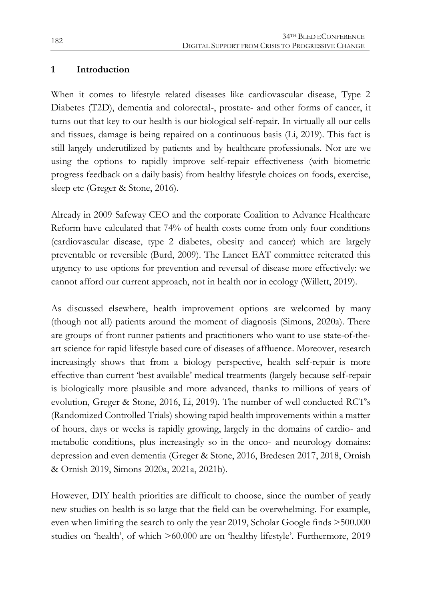#### **1 Introduction**

When it comes to lifestyle related diseases like cardiovascular disease, Type 2 Diabetes (T2D), dementia and colorectal-, prostate- and other forms of cancer, it turns out that key to our health is our biological self-repair. In virtually all our cells and tissues, damage is being repaired on a continuous basis (Li, 2019). This fact is still largely underutilized by patients and by healthcare professionals. Nor are we using the options to rapidly improve self-repair effectiveness (with biometric progress feedback on a daily basis) from healthy lifestyle choices on foods, exercise, sleep etc (Greger & Stone, 2016).

Already in 2009 Safeway CEO and the corporate Coalition to Advance Healthcare Reform have calculated that 74% of health costs come from only four conditions (cardiovascular disease, type 2 diabetes, obesity and cancer) which are largely preventable or reversible (Burd, 2009). The Lancet EAT committee reiterated this urgency to use options for prevention and reversal of disease more effectively: we cannot afford our current approach, not in health nor in ecology (Willett, 2019).

As discussed elsewhere, health improvement options are welcomed by many (though not all) patients around the moment of diagnosis (Simons, 2020a). There are groups of front runner patients and practitioners who want to use state-of-theart science for rapid lifestyle based cure of diseases of affluence. Moreover, research increasingly shows that from a biology perspective, health self-repair is more effective than current 'best available' medical treatments (largely because self-repair is biologically more plausible and more advanced, thanks to millions of years of evolution, Greger & Stone, 2016, Li, 2019). The number of well conducted RCT's (Randomized Controlled Trials) showing rapid health improvements within a matter of hours, days or weeks is rapidly growing, largely in the domains of cardio- and metabolic conditions, plus increasingly so in the onco- and neurology domains: depression and even dementia (Greger & Stone, 2016, Bredesen 2017, 2018, Ornish & Ornish 2019, Simons 2020a, 2021a, 2021b).

However, DIY health priorities are difficult to choose, since the number of yearly new studies on health is so large that the field can be overwhelming. For example, even when limiting the search to only the year 2019, Scholar Google finds >500.000 studies on 'health', of which >60.000 are on 'healthy lifestyle'. Furthermore, 2019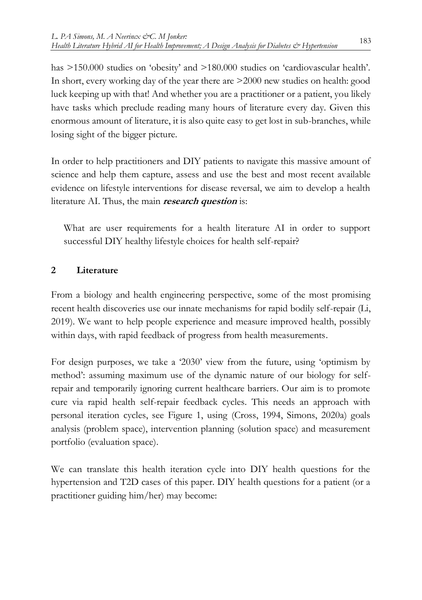has  $>150.000$  studies on 'obesity' and  $>180.000$  studies on 'cardiovascular health'. In short, every working day of the year there are >2000 new studies on health: good luck keeping up with that! And whether you are a practitioner or a patient, you likely have tasks which preclude reading many hours of literature every day. Given this enormous amount of literature, it is also quite easy to get lost in sub-branches, while losing sight of the bigger picture.

In order to help practitioners and DIY patients to navigate this massive amount of science and help them capture, assess and use the best and most recent available evidence on lifestyle interventions for disease reversal, we aim to develop a health literature AI. Thus, the main **research question** is:

What are user requirements for a health literature AI in order to support successful DIY healthy lifestyle choices for health self-repair?

### **2 Literature**

From a biology and health engineering perspective, some of the most promising recent health discoveries use our innate mechanisms for rapid bodily self-repair (Li, 2019). We want to help people experience and measure improved health, possibly within days, with rapid feedback of progress from health measurements.

For design purposes, we take a '2030' view from the future, using 'optimism by method': assuming maximum use of the dynamic nature of our biology for selfrepair and temporarily ignoring current healthcare barriers. Our aim is to promote cure via rapid health self-repair feedback cycles. This needs an approach with personal iteration cycles, see Figure 1, using (Cross, 1994, Simons, 2020a) goals analysis (problem space), intervention planning (solution space) and measurement portfolio (evaluation space).

We can translate this health iteration cycle into DIY health questions for the hypertension and T2D cases of this paper. DIY health questions for a patient (or a practitioner guiding him/her) may become: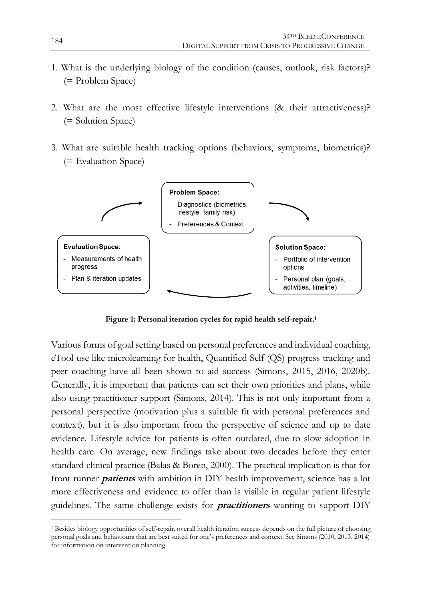- 1. What is the underlying biology of the condition (causes, outlook, risk factors)? (= Problem Space)
- 2. What are the most effective lifestyle interventions (& their attractiveness)? (= Solution Space)
- 3. What are suitable health tracking options (behaviors, symptoms, biometrics)? (= Evaluation Space)



**Figure 1: Personal iteration cycles for rapid health self-repair. 1**

Various forms of goal setting based on personal preferences and individual coaching, eTool use like microlearning for health, Quantified Self (QS) progress tracking and peer coaching have all been shown to aid success (Simons, 2015, 2016, 2020b). Generally, it is important that patients can set their own priorities and plans, while also using practitioner support (Simons, 2014). This is not only important from a personal perspective (motivation plus a suitable fit with personal preferences and context), but it is also important from the perspective of science and up to date evidence. Lifestyle advice for patients is often outdated, due to slow adoption in health care. On average, new findings take about two decades before they enter standard clinical practice (Balas & Boren, 2000). The practical implication is that for front runner **patients** with ambition in DIY health improvement, science has a lot more effectiveness and evidence to offer than is visible in regular patient lifestyle guidelines. The same challenge exists for **practitioners** wanting to support DIY

1

<sup>1</sup> Besides biology opportunities of self-repair, overall health iteration success depends on the full picture of choosing personal goals and behaviours that are best suited for one's preferences and context. See Simons (2010, 2013, 2014) for information on intervention planning.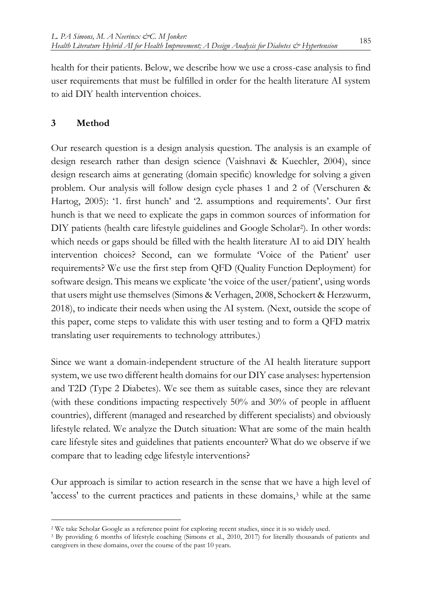health for their patients. Below, we describe how we use a cross-case analysis to find user requirements that must be fulfilled in order for the health literature AI system to aid DIY health intervention choices.

### **3 Method**

1

Our research question is a design analysis question. The analysis is an example of design research rather than design science (Vaishnavi & Kuechler, 2004), since design research aims at generating (domain specific) knowledge for solving a given problem. Our analysis will follow design cycle phases 1 and 2 of (Verschuren & Hartog, 2005): '1. first hunch' and '2. assumptions and requirements'. Our first hunch is that we need to explicate the gaps in common sources of information for DIY patients (health care lifestyle guidelines and Google Scholar2). In other words: which needs or gaps should be filled with the health literature AI to aid DIY health intervention choices? Second, can we formulate 'Voice of the Patient' user requirements? We use the first step from QFD (Quality Function Deployment) for software design. This means we explicate 'the voice of the user/patient', using words that users might use themselves (Simons & Verhagen, 2008, Schockert & Herzwurm, 2018), to indicate their needs when using the AI system. (Next, outside the scope of this paper, come steps to validate this with user testing and to form a QFD matrix translating user requirements to technology attributes.)

Since we want a domain-independent structure of the AI health literature support system, we use two different health domains for our DIY case analyses: hypertension and T2D (Type 2 Diabetes). We see them as suitable cases, since they are relevant (with these conditions impacting respectively 50% and 30% of people in affluent countries), different (managed and researched by different specialists) and obviously lifestyle related. We analyze the Dutch situation: What are some of the main health care lifestyle sites and guidelines that patients encounter? What do we observe if we compare that to leading edge lifestyle interventions?

Our approach is similar to action research in the sense that we have a high level of 'access' to the current practices and patients in these domains,<sup>3</sup> while at the same

<sup>2</sup> We take Scholar Google as a reference point for exploring recent studies, since it is so widely used.

<sup>3</sup> By providing 6 months of lifestyle coaching (Simons et al., 2010, 2017) for literally thousands of patients and caregivers in these domains, over the course of the past 10 years.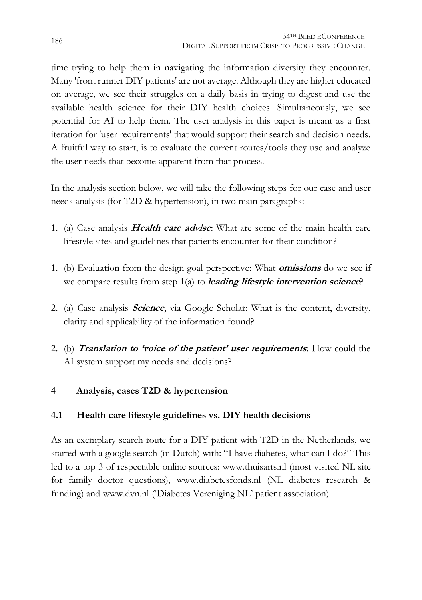time trying to help them in navigating the information diversity they encounter. Many 'front runner DIY patients' are not average. Although they are higher educated on average, we see their struggles on a daily basis in trying to digest and use the available health science for their DIY health choices. Simultaneously, we see potential for AI to help them. The user analysis in this paper is meant as a first iteration for 'user requirements' that would support their search and decision needs. A fruitful way to start, is to evaluate the current routes/tools they use and analyze the user needs that become apparent from that process.

In the analysis section below, we will take the following steps for our case and user needs analysis (for T2D & hypertension), in two main paragraphs:

- 1. (a) Case analysis **Health care advise**: What are some of the main health care lifestyle sites and guidelines that patients encounter for their condition?
- 1. (b) Evaluation from the design goal perspective: What **omissions** do we see if we compare results from step 1(a) to **leading lifestyle intervention science**?
- 2. (a) Case analysis **Science**, via Google Scholar: What is the content, diversity, clarity and applicability of the information found?
- 2. (b) **Translation to 'voice of the patient' user requirements**: How could the AI system support my needs and decisions?

## **4 Analysis, cases T2D & hypertension**

### **4.1 Health care lifestyle guidelines vs. DIY health decisions**

As an exemplary search route for a DIY patient with T2D in the Netherlands, we started with a google search (in Dutch) with: "I have diabetes, what can I do?" This led to a top 3 of respectable online sources: [www.thuisarts.nl](http://www.thuisarts.nl,/) (most visited NL site for family doctor questions), [www.diabetesfonds.nl](http://www.diabetesfonds.nl/) (NL diabetes research & funding) and [www.dvn.nl](http://www.dvn.nl/) ('Diabetes Vereniging NL' patient association).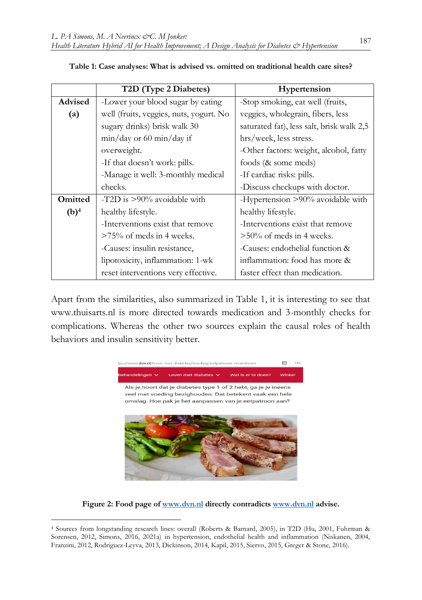|                   | T2D (Type 2 Diabetes)                   | Hypertension                              |
|-------------------|-----------------------------------------|-------------------------------------------|
| <b>Advised</b>    | -Lower your blood sugar by eating       | -Stop smoking, eat well (fruits,          |
| $\left( a\right)$ | well (fruits, veggies, nuts, yogurt. No | veggies, wholegrain, fibers, less         |
|                   | sugary drinks) brisk walk 30            | saturated fat), less salt, brisk walk 2,5 |
|                   | $min/day$ or 60 $min/day$ if            | hrs/week, less stress.                    |
|                   | overweight.                             | -Other factors: weight, alcohol, fatty    |
|                   | -If that doesn't work: pills.           | foods (& some meds)                       |
|                   | -Manage it well: 3-monthly medical      | -If cardiac risks: pills.                 |
|                   | checks.                                 | -Discuss checkups with doctor.            |
| <b>Omitted</b>    | -T2D is $>90\%$ avoidable with          | -Hypertension >90% avoidable with         |
| (b) <sup>4</sup>  | healthy lifestyle.                      | healthy lifestyle.                        |
|                   | -Interventions exist that remove        | -Interventions exist that remove          |
|                   | $>75\%$ of meds in 4 weeks.             | $>50\%$ of meds in 4 weeks.               |
|                   | -Causes: insulin resistance,            | -Causes: endothelial function &           |
|                   | lipotoxicity, inflammation: 1-wk        | inflammation: food has more &             |
|                   | reset interventions very effective.     | faster effect than medication.            |

|  |  | Table 1: Case analyses: What is advised vs. omitted on traditional health care sites? |  |
|--|--|---------------------------------------------------------------------------------------|--|
|--|--|---------------------------------------------------------------------------------------|--|

Apart from the similarities, also summarized in Table 1, it is interesting to see that www.thuisarts.nl is more directed towards medication and 3-monthly checks for complications. Whereas the other two sources explain the causal roles of health behaviors and insulin sensitivity better.



**Figure 2: Food page of [www.dvn.nl](http://www.dvn.nl/) directly contradicts [www.dvn.nl](http://www.dvn.nl/) advise.** 

1

<sup>4</sup> Sources from longstanding research lines: overall (Roberts & Barnard, 2005), in T2D (Hu, 2001, Fuhrman & Sorensen, 2012, Simons, 2016, 2021a) in hypertension, endothelial health and inflammation (Niskanen, 2004, Franzini, 2012, Rodriguez-Leyva, 2013, Dickinson, 2014, Kapil, 2015, Siervo, 2015, Greger & Stone, 2016).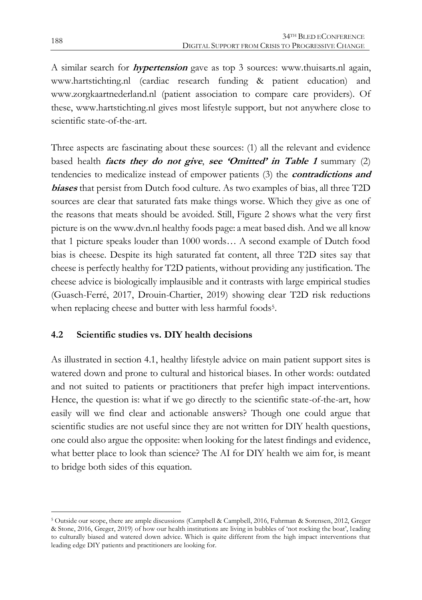A similar search for **hypertension** gave as top 3 sources: www.thuisarts.nl again, www.hartstichting.nl (cardiac research funding & patient education) and www.zorgkaartnederland.nl (patient association to compare care providers). Of these, www.hartstichting.nl gives most lifestyle support, but not anywhere close to scientific state-of-the-art.

Three aspects are fascinating about these sources: (1) all the relevant and evidence based health **facts they do not give**, **see 'Omitted' in Table 1** summary (2) tendencies to medicalize instead of empower patients (3) the **contradictions and biases** that persist from Dutch food culture. As two examples of bias, all three T2D sources are clear that saturated fats make things worse. Which they give as one of the reasons that meats should be avoided. Still, Figure 2 shows what the very first picture is on the www.dvn.nl healthy foods page: a meat based dish. And we all know that 1 picture speaks louder than 1000 words… A second example of Dutch food bias is cheese. Despite its high saturated fat content, all three T2D sites say that cheese is perfectly healthy for T2D patients, without providing any justification. The cheese advice is biologically implausible and it contrasts with large empirical studies (Guasch-Ferré, 2017, Drouin-Chartier, 2019) showing clear T2D risk reductions when replacing cheese and butter with less harmful foods<sup>5</sup>.

## **4.2 Scientific studies vs. DIY health decisions**

As illustrated in section 4.1, healthy lifestyle advice on main patient support sites is watered down and prone to cultural and historical biases. In other words: outdated and not suited to patients or practitioners that prefer high impact interventions. Hence, the question is: what if we go directly to the scientific state-of-the-art, how easily will we find clear and actionable answers? Though one could argue that scientific studies are not useful since they are not written for DIY health questions, one could also argue the opposite: when looking for the latest findings and evidence, what better place to look than science? The AI for DIY health we aim for, is meant to bridge both sides of this equation.

 $\overline{a}$ 

<sup>5</sup> Outside our scope, there are ample discussions (Campbell & Campbell, 2016, Fuhrman & Sorensen, 2012, Greger & Stone, 2016, Greger, 2019) of how our health institutions are living in bubbles of 'not rocking the boat', leading to culturally biased and watered down advice. Which is quite different from the high impact interventions that leading edge DIY patients and practitioners are looking for.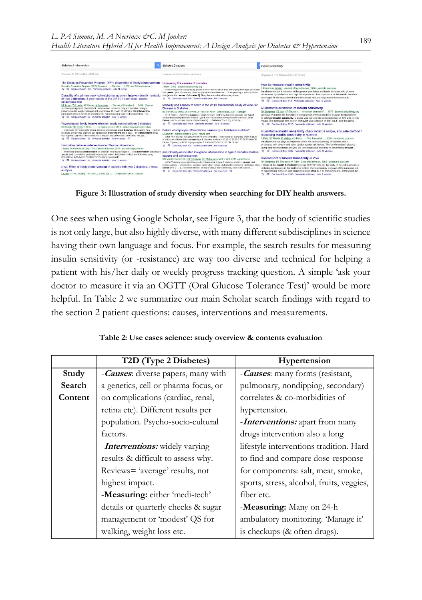| diabetes-2 intervention                                                                                                                                                                                                                                                                                                                                                                                                                                                                                                                                                                                                                                                                                     | diabetes-2 causes                                                                                                                                                                                                                                                                                                                                                                                                                                                                                                                                 | insulin sensitivity                                                                                                                                                                                                                                                                                                                                                                                                                                                                                                                                  |
|-------------------------------------------------------------------------------------------------------------------------------------------------------------------------------------------------------------------------------------------------------------------------------------------------------------------------------------------------------------------------------------------------------------------------------------------------------------------------------------------------------------------------------------------------------------------------------------------------------------------------------------------------------------------------------------------------------------|---------------------------------------------------------------------------------------------------------------------------------------------------------------------------------------------------------------------------------------------------------------------------------------------------------------------------------------------------------------------------------------------------------------------------------------------------------------------------------------------------------------------------------------------------|------------------------------------------------------------------------------------------------------------------------------------------------------------------------------------------------------------------------------------------------------------------------------------------------------------------------------------------------------------------------------------------------------------------------------------------------------------------------------------------------------------------------------------------------------|
| Onseveer 38,900 resultaten (0,16 sec).                                                                                                                                                                                                                                                                                                                                                                                                                                                                                                                                                                                                                                                                      | Ongeveer 45,900 resultaten (0,10 sec)                                                                                                                                                                                                                                                                                                                                                                                                                                                                                                             | Ongoveer 2.170.000 resultaten (0.11 sec)                                                                                                                                                                                                                                                                                                                                                                                                                                                                                                             |
| The Diabetes Prevention Program (DPP): description of lifestyle intervention<br>Diabetes Prevention Program (DPP) Research - Diabetes  2002 - Am Diabetes Assoc.<br>Cr. DP Geoteard door 1455 Verwante artikelen Alle 11 versus<br>Durability of a primary care-led weight-management intervention for remission due jabout the causes of diabetes 2). Now, there are almost too many ideas<br>of type 2 diabetes: 2-year results of the DIRECT open-label, cluster-<br>randomised trial                                                                                                                                                                                                                    | Unraveling the causes of diabetes<br>J Marx - 2002 - science sciencemag.org<br>Uncovering such susceptibility genes is much more difficult than identifying the single-gene de<br>that cause cystic forests and other simple hereditary diseases. Then years ago, nobody had a<br>C 99 Gecheenl door 184 Verwarde artikelen Alle 7 versies                                                                                                                                                                                                        | How to measure insulin sensitivity<br>E Ferrannini, A Mari - Journal of hypertension, 1998 - journals lww.com<br>Insulin resistance is common in the general population and tends to cluster with glucose<br>infolerance, dysipidaemia and high blood pressure. The importance of the Insulin-resistant<br>phenotype for the assessment of cardiovascular risk and response to intervention is<br>Cr. 99 Geoteent door 612 Verwante artikelen Alle 12 versies                                                                                        |
| MEJ Lean, WS Leslie, AC Barnes, N Brosnahan - The lancel Diabeles & , 2019 - Elsevier<br>Summary Background The DIRECT that assessed remission of type 2 diabetes during a<br>primary care-led weight monapement programme. At 1 year, 68 (46%) of 149 intervention<br>participants wara in remission and 36 (24%) had achieved at least 15 kg weight loss. The<br>17 PP Geoteerd door 199 Verwente artikelen Alle 12 yerses<br>Psychological family intervention for poorly controlled type 2 diabetes<br>KM Keogh, SM Smith, P While of managed care, 2011 - eprints may nothuniversity in                                                                                                                | Mortality and causes of death in the WHO Multinational Study of Vascular<br>Disease in Diabetes<br>NJ Morrish, SL Wang, LK Stevens, JH Faller, H Keen - Diabetologie, 2001 - Springer<br>5 18 Table 4. Underlying causes of death for each centre by diabetes type and sex Type I<br>insulin dependent) diabetes melitus Type II non-insulin dependent) diabetes melitus Centre<br>Cause men %) women %) men %) women %)  Diabetes 2 5) 3 10) 1 2) 0 0)<br>Cr 00 Germand door 1493 Verwante artikelen Alle 15 versies                             | Quantitative estimation of insulin sensitivity.<br>RN Bergman, YZ Ider, CR Bowden - American Journal of , 1979 - journals physiology.org<br>We have evaluated the feasibility of using a mathematical model of glucose disappearance<br>to estimate insulin sensitivity. Clucose was injected into conscious dogs at 100, 200, or 300<br>make. The measured time course of insulin was recorded as the" input." and the faling<br>Cr. 99 Gecileard door 2216 Verwante articolon Alle 11 version                                                      |
| and clarify any inaccurate and/or nogative perceptions about diabetes. (2) examine how  so that<br>clinicians and service planners can target such interventions more cost  The intervention group<br>also reported significant improvements in most liness perception dimensions (except<br>TZ BB Geoleerd door 182 Verwante artikelen Alia S versies 80<br>Promotora diabetes intervention for Mexican Americans<br>J Lujan, SK Oshvald, M Orliz - The Diabetes Educator, 2007 - journals sagepub com-<br>Promotora Diabetes Intervention for Mexican Americans Purpose  The Intervention was cultured<br>specific and consisted of participative group education, telephone contact, and follow-up using | Failure of adipocyte differentiation causes type II diabetes mellitus?<br>E Dantorth - Naturo gonotics, 2000 - naturo com<br>After PCR testing, 436 putative SNPs were available. These were re- Sampling SNPs Failure<br>of adipocyte differentiation causes type it diabetes mellitus? 20 30 40 50 60 0 25 50 75 100 CN<br>EX lab Q (phred) in HQD % polymorphic 0 2 4 6 8 0 25 50 75 100 CN EX lab<br>** 00 Conteast door 508 Venusate artikelen Alle 5 versies<br>rrom Obesity-associated low-grade inflammation in type 2 diabetes mellitus. | Quantitative insulin sensitivity check index: a simple, accurate method f<br>assessing insulin sensitivity in humans<br>A Katz, SS Nambi, K Mather, AD Baron. - The Journal of  2000 - academic oup com<br>Insulin resistance plays an important role in the pathophysiology of diabetes and is<br>associated with obesity and other cardiovascular risk factors. The "gold standard" glucose<br>clamp and minimal model analysis are two established methods for determining insulin<br>Tr 99 Geckeard door 3962 Verwante artikelen Alle 11 versies |
| inspirational faith- based health behavior change postcards<br>Cr. 22 Genteent door 192 Verwante articulary Alle 10 verses<br>prou: Effect of lifestyle intervention in patients with type 2 diabetes: a meta-<br>analysis<br>L Chen, JH Pei, J Kusng, HM Chen, Z Chen, ZW Li., - Metabolism, 2015 - Elsevier                                                                                                                                                                                                                                                                                                                                                                                               | causes and consequences<br>MM Van Greevenbroek. CG Schalkwik. CD Stehouwer - Neth J Med. 2013 - nimonline nl<br>reVieW chesity-essociated low-grade inflammation in type 2 diabetes mellius: causes and<br>comeoguances  dysfunction, vascular dysfunction, innate and adaptive immunity HoW does obes<br>CaUse tyPe 2  2. 3 Several different fat depots have been identified, each with specific<br>D Germent door 243 Venezute artikelen Alle 8 versies 16                                                                                     | Assessment of Insulin Sensitivity in Vivo<br>RN Bergman, DT Finegood, M Ader - Endocrine reviews, 1985 - academic oup com<br>Origin of the Insulin Sensitivity Concept H ISTORICALLY, the study of the pathogenesis of<br>diabetes mellitus was in the traditional pattern of endocrinology, removal of the pancreas led<br>to experimental diabetes, and administration of insulin, a pancreatic isolate, ameliorated the<br>Cr 99 Geciteerd door 1333 Verwante articelen Alle 7 versies                                                            |

**Figure 3: Illustration of study diversity when searching for DIY health answers.** 

One sees when using Google Scholar, see Figure 3, that the body of scientific studies is not only large, but also highly diverse, with many different subdisciplines in science having their own language and focus. For example, the search results for measuring insulin sensitivity (or -resistance) are way too diverse and technical for helping a patient with his/her daily or weekly progress tracking question. A simple 'ask your doctor to measure it via an OGTT (Oral Glucose Tolerance Test)' would be more helpful. In Table 2 we summarize our main Scholar search findings with regard to the section 2 patient questions: causes, interventions and measurements.

|         | T2D (Type 2 Diabetes)                       | Hypertension                              |
|---------|---------------------------------------------|-------------------------------------------|
| Study   | - <b>Causes</b> : diverse papers, many with | - Causes: many forms (resistant,          |
| Search  | a genetics, cell or pharma focus, or        | pulmonary, nondipping, secondary)         |
| Content | on complications (cardiac, renal,           | correlates & co-morbidities of            |
|         | retina etc). Different results per          | hypertension.                             |
|         | population. Psycho-socio-cultural           | -Interventions: apart from many           |
|         | factors.                                    | drugs intervention also a long            |
|         | -Interventions: widely varying              | lifestyle interventions tradition. Hard   |
|         | results & difficult to assess why.          | to find and compare dose-response         |
|         | Reviews= 'average' results, not             | for components: salt, meat, smoke,        |
|         | highest impact.                             | sports, stress, alcohol, fruits, veggies, |
|         | -Measuring: either 'medi-tech'              | fiber etc.                                |
|         | details or quarterly checks & sugar         | -Measuring: Many on 24-h                  |
|         | management or 'modest' QS for               | ambulatory monitoring. 'Manage it'        |
|         | walking, weight loss etc.                   | is checkups (& often drugs).              |

**Table 2: Use cases science: study overview & contents evaluation**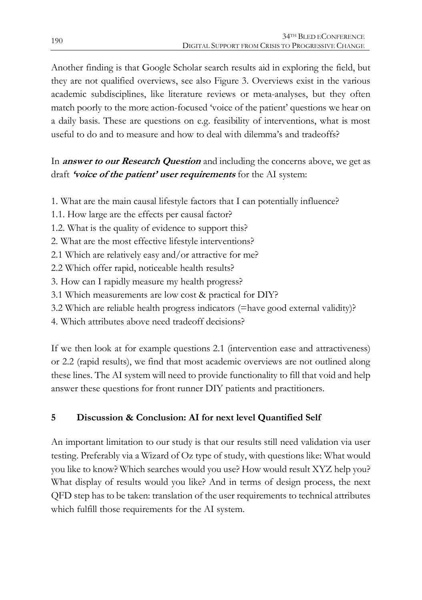Another finding is that Google Scholar search results aid in exploring the field, but they are not qualified overviews, see also Figure 3. Overviews exist in the various academic subdisciplines, like literature reviews or meta-analyses, but they often match poorly to the more action-focused 'voice of the patient' questions we hear on a daily basis. These are questions on e.g. feasibility of interventions, what is most useful to do and to measure and how to deal with dilemma's and tradeoffs?

## In **answer to our Research Question** and including the concerns above, we get as draft **'voice of the patient' user requirements** for the AI system:

- 1. What are the main causal lifestyle factors that I can potentially influence?
- 1.1. How large are the effects per causal factor?
- 1.2. What is the quality of evidence to support this?
- 2. What are the most effective lifestyle interventions?
- 2.1 Which are relatively easy and/or attractive for me?
- 2.2 Which offer rapid, noticeable health results?
- 3. How can I rapidly measure my health progress?
- 3.1 Which measurements are low cost & practical for DIY?
- 3.2 Which are reliable health progress indicators (=have good external validity)?
- 4. Which attributes above need tradeoff decisions?

If we then look at for example questions 2.1 (intervention ease and attractiveness) or 2.2 (rapid results), we find that most academic overviews are not outlined along these lines. The AI system will need to provide functionality to fill that void and help answer these questions for front runner DIY patients and practitioners.

## **5 Discussion & Conclusion: AI for next level Quantified Self**

An important limitation to our study is that our results still need validation via user testing. Preferably via a Wizard of Oz type of study, with questions like: What would you like to know? Which searches would you use? How would result XYZ help you? What display of results would you like? And in terms of design process, the next QFD step has to be taken: translation of the user requirements to technical attributes which fulfill those requirements for the AI system.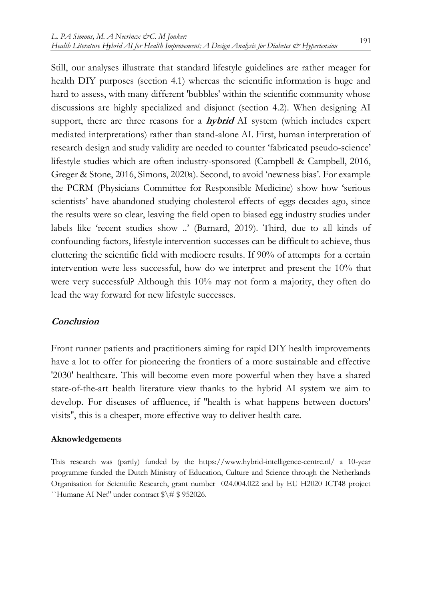Still, our analyses illustrate that standard lifestyle guidelines are rather meager for health DIY purposes (section 4.1) whereas the scientific information is huge and hard to assess, with many different 'bubbles' within the scientific community whose discussions are highly specialized and disjunct (section 4.2). When designing AI support, there are three reasons for a **hybrid** AI system (which includes expert mediated interpretations) rather than stand-alone AI. First, human interpretation of research design and study validity are needed to counter 'fabricated pseudo-science' lifestyle studies which are often industry-sponsored (Campbell & Campbell, 2016, Greger & Stone, 2016, Simons, 2020a). Second, to avoid 'newness bias'. For example the PCRM (Physicians Committee for Responsible Medicine) show how 'serious scientists' have abandoned studying cholesterol effects of eggs decades ago, since the results were so clear, leaving the field open to biased egg industry studies under labels like 'recent studies show ..' (Barnard, 2019). Third, due to all kinds of confounding factors, lifestyle intervention successes can be difficult to achieve, thus cluttering the scientific field with mediocre results. If 90% of attempts for a certain intervention were less successful, how do we interpret and present the 10% that were very successful? Although this 10% may not form a majority, they often do lead the way forward for new lifestyle successes.

#### **Conclusion**

Front runner patients and practitioners aiming for rapid DIY health improvements have a lot to offer for pioneering the frontiers of a more sustainable and effective '2030' healthcare. This will become even more powerful when they have a shared state-of-the-art health literature view thanks to the hybrid AI system we aim to develop. For diseases of affluence, if ''health is what happens between doctors' visits'', this is a cheaper, more effective way to deliver health care.

#### **Aknowledgements**

This research was (partly) funded by the https://www.hybrid-intelligence-centre.nl/ a 10-year programme funded the Dutch Ministry of Education, Culture and Science through the Netherlands Organisation for Scientific Research, grant number 024.004.022 and by EU H2020 ICT48 project ``Humane AI Net'' under contract \$\# \$ 952026.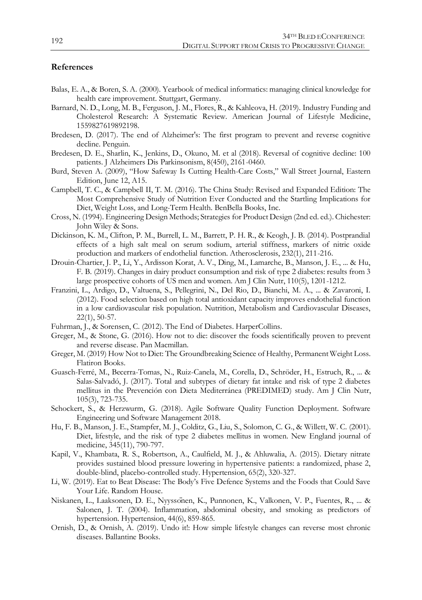#### **References**

- Balas, E. A., & Boren, S. A. (2000). Yearbook of medical informatics: managing clinical knowledge for health care improvement. Stuttgart, Germany.
- Barnard, N. D., Long, M. B., Ferguson, J. M., Flores, R., & Kahleova, H. (2019). Industry Funding and Cholesterol Research: A Systematic Review. American Journal of Lifestyle Medicine, 1559827619892198.
- Bredesen, D. (2017). The end of Alzheimer's: The first program to prevent and reverse cognitive decline. Penguin.
- Bredesen, D. E., Sharlin, K., Jenkins, D., Okuno, M. et al (2018). Reversal of cognitive decline: 100 patients. J Alzheimers Dis Parkinsonism, 8(450), 2161-0460.
- Burd, Steven A. (2009), "How Safeway Is Cutting Health-Care Costs," Wall Street Journal, Eastern Edition, June 12, A15.
- Campbell, T. C., & Campbell II, T. M. (2016). The China Study: Revised and Expanded Edition: The Most Comprehensive Study of Nutrition Ever Conducted and the Startling Implications for Diet, Weight Loss, and Long-Term Health. BenBella Books, Inc.
- Cross, N. (1994). Engineering Design Methods; Strategies for Product Design (2nd ed. ed.). Chichester: John Wiley & Sons.
- Dickinson, K. M., Clifton, P. M., Burrell, L. M., Barrett, P. H. R., & Keogh, J. B. (2014). Postprandial effects of a high salt meal on serum sodium, arterial stiffness, markers of nitric oxide production and markers of endothelial function. Atherosclerosis, 232(1), 211-216.
- Drouin-Chartier, J. P., Li, Y., Ardisson Korat, A. V., Ding, M., Lamarche, B., Manson, J. E., ... & Hu, F. B. (2019). Changes in dairy product consumption and risk of type 2 diabetes: results from 3 large prospective cohorts of US men and women. Am J Clin Nutr, 110(5), 1201-1212.
- Franzini, L., Ardigo, D., Valtuena, S., Pellegrini, N., Del Rio, D., Bianchi, M. A., ... & Zavaroni, I. (2012). Food selection based on high total antioxidant capacity improves endothelial function in a low cardiovascular risk population. Nutrition, Metabolism and Cardiovascular Diseases, 22(1), 50-57.
- Fuhrman, J., & Sorensen, C. (2012). The End of Diabetes. HarperCollins.
- Greger, M., & Stone, G. (2016). How not to die: discover the foods scientifically proven to prevent and reverse disease. Pan Macmillan.
- Greger, M. (2019) How Not to Diet: The Groundbreaking Science of Healthy, Permanent Weight Loss. Flatiron Books.
- Guasch-Ferré, M., Becerra-Tomas, N., Ruiz-Canela, M., Corella, D., Schröder, H., Estruch, R., ... & Salas-Salvadó, J. (2017). Total and subtypes of dietary fat intake and risk of type 2 diabetes mellitus in the Prevención con Dieta Mediterránea (PREDIMED) study. Am J Clin Nutr, 105(3), 723-735.
- Schockert, S., & Herzwurm, G. (2018). Agile Software Quality Function Deployment. Software Engineering und Software Management 2018.
- Hu, F. B., Manson, J. E., Stampfer, M. J., Colditz, G., Liu, S., Solomon, C. G., & Willett, W. C. (2001). Diet, lifestyle, and the risk of type 2 diabetes mellitus in women. New England journal of medicine, 345(11), 790-797.
- Kapil, V., Khambata, R. S., Robertson, A., Caulfield, M. J., & Ahluwalia, A. (2015). Dietary nitrate provides sustained blood pressure lowering in hypertensive patients: a randomized, phase 2, double-blind, placebo-controlled study. Hypertension, 65(2), 320-327.
- Li, W. (2019). Eat to Beat Disease: The Body's Five Defence Systems and the Foods that Could Save Your Life. Random House.
- Niskanen, L., Laaksonen, D. E., Nyyssönen, K., Punnonen, K., Valkonen, V. P., Fuentes, R., ... & Salonen, J. T. (2004). Inflammation, abdominal obesity, and smoking as predictors of hypertension. Hypertension, 44(6), 859-865.
- Ornish, D., & Ornish, A. (2019). Undo it!: How simple lifestyle changes can reverse most chronic diseases. Ballantine Books.